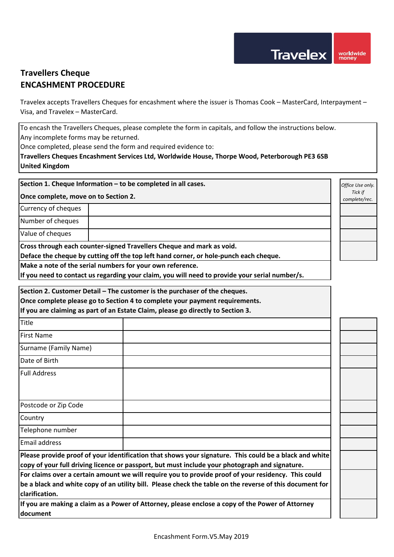*Office Use only. Tick if complete/rec.*

## **Travellers Cheque ENCASHMENT PROCEDURE**

Travelex accepts Travellers Cheques for encashment where the issuer is Thomas Cook – MasterCard, Interpayment – Visa, and Travelex – MasterCard.

To encash the Travellers Cheques, please complete the form in capitals, and follow the instructions below.

Any incomplete forms may be returned.

Once completed, please send the form and required evidence to:

**Travellers Cheques Encashment Services Ltd, Worldwide House, Thorpe Wood, Peterborough PE3 6SB United Kingdom**

**Section 1. Cheque Information – to be completed in all cases.** 

**Once complete, move on to Section 2.**

Currency of cheques

Number of cheques

Value of cheques

**Cross through each counter-signed Travellers Cheque and mark as void.** 

**Deface the cheque by cutting off the top left hand corner, or hole-punch each cheque.**

**Make a note of the serial numbers for your own reference.** 

**If you need to contact us regarding your claim, you will need to provide your serial number/s.** 

**Section 2. Customer Detail – The customer is the purchaser of the cheques.**

**Once complete please go to Section 4 to complete your payment requirements.**

**If you are claiming as part of an Estate Claim, please go directly to Section 3.**

| Title                                                                                                                                                                                                    |  |  |  |  |  |
|----------------------------------------------------------------------------------------------------------------------------------------------------------------------------------------------------------|--|--|--|--|--|
| <b>First Name</b>                                                                                                                                                                                        |  |  |  |  |  |
| Surname (Family Name)                                                                                                                                                                                    |  |  |  |  |  |
| Date of Birth                                                                                                                                                                                            |  |  |  |  |  |
| <b>Full Address</b>                                                                                                                                                                                      |  |  |  |  |  |
|                                                                                                                                                                                                          |  |  |  |  |  |
| Postcode or Zip Code                                                                                                                                                                                     |  |  |  |  |  |
| Country                                                                                                                                                                                                  |  |  |  |  |  |
| Telephone number                                                                                                                                                                                         |  |  |  |  |  |
| <b>Email address</b>                                                                                                                                                                                     |  |  |  |  |  |
| Please provide proof of your identification that shows your signature. This could be a black and white<br>copy of your full driving licence or passport, but must include your photograph and signature. |  |  |  |  |  |
| For claims over a certain amount we will require you to provide proof of your residency. This could                                                                                                      |  |  |  |  |  |
| be a black and white copy of an utility bill. Please check the table on the reverse of this document for<br>clarification.                                                                               |  |  |  |  |  |

**If you are making a claim as a Power of Attorney, please enclose a copy of the Power of Attorney document**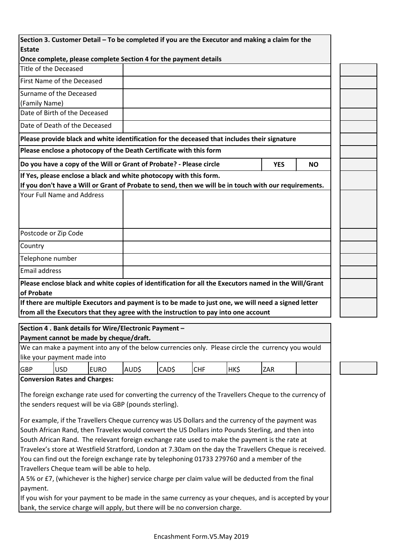| <b>Estate</b>        |                                                                                                         |             | Section 3. Customer Detail - To be completed if you are the Executor and making a claim for the |       |            |      |            |           |
|----------------------|---------------------------------------------------------------------------------------------------------|-------------|-------------------------------------------------------------------------------------------------|-------|------------|------|------------|-----------|
|                      |                                                                                                         |             |                                                                                                 |       |            |      |            |           |
|                      | Once complete, please complete Section 4 for the payment details                                        |             |                                                                                                 |       |            |      |            |           |
|                      | Title of the Deceased                                                                                   |             |                                                                                                 |       |            |      |            |           |
|                      | First Name of the Deceased                                                                              |             |                                                                                                 |       |            |      |            |           |
|                      | Surname of the Deceased                                                                                 |             |                                                                                                 |       |            |      |            |           |
| (Family Name)        |                                                                                                         |             |                                                                                                 |       |            |      |            |           |
|                      | Date of Birth of the Deceased                                                                           |             |                                                                                                 |       |            |      |            |           |
|                      | Date of Death of the Deceased                                                                           |             |                                                                                                 |       |            |      |            |           |
|                      | Please provide black and white identification for the deceased that includes their signature            |             |                                                                                                 |       |            |      |            |           |
|                      | Please enclose a photocopy of the Death Certificate with this form                                      |             |                                                                                                 |       |            |      |            |           |
|                      | Do you have a copy of the Will or Grant of Probate? - Please circle                                     |             |                                                                                                 |       |            |      | <b>YES</b> | <b>NO</b> |
|                      | If Yes, please enclose a black and white photocopy with this form.                                      |             |                                                                                                 |       |            |      |            |           |
|                      | If you don't have a Will or Grant of Probate to send, then we will be in touch with our requirements.   |             |                                                                                                 |       |            |      |            |           |
|                      | Your Full Name and Address                                                                              |             |                                                                                                 |       |            |      |            |           |
|                      |                                                                                                         |             |                                                                                                 |       |            |      |            |           |
|                      |                                                                                                         |             |                                                                                                 |       |            |      |            |           |
|                      | Postcode or Zip Code                                                                                    |             |                                                                                                 |       |            |      |            |           |
| Country              |                                                                                                         |             |                                                                                                 |       |            |      |            |           |
| Telephone number     |                                                                                                         |             |                                                                                                 |       |            |      |            |           |
| <b>Email address</b> |                                                                                                         |             |                                                                                                 |       |            |      |            |           |
|                      | Please enclose black and white copies of identification for all the Executors named in the Will/Grant   |             |                                                                                                 |       |            |      |            |           |
| of Probate           |                                                                                                         |             |                                                                                                 |       |            |      |            |           |
|                      | If there are multiple Executors and payment is to be made to just one, we will need a signed letter     |             |                                                                                                 |       |            |      |            |           |
|                      | from all the Executors that they agree with the instruction to pay into one account                     |             |                                                                                                 |       |            |      |            |           |
|                      | Section 4 . Bank details for Wire/Electronic Payment -                                                  |             |                                                                                                 |       |            |      |            |           |
|                      | Payment cannot be made by cheque/draft.                                                                 |             |                                                                                                 |       |            |      |            |           |
|                      |                                                                                                         |             |                                                                                                 |       |            |      |            |           |
|                      | We can make a payment into any of the below currencies only. Please circle the currency you would       |             |                                                                                                 |       |            |      |            |           |
|                      | like your payment made into                                                                             |             |                                                                                                 |       |            |      |            |           |
| GBP                  | <b>USD</b>                                                                                              | <b>EURO</b> | AUD\$                                                                                           | CAD\$ | <b>CHF</b> | HK\$ | ZAR        |           |
|                      | <b>Conversion Rates and Charges:</b>                                                                    |             |                                                                                                 |       |            |      |            |           |
|                      |                                                                                                         |             |                                                                                                 |       |            |      |            |           |
|                      | The foreign exchange rate used for converting the currency of the Travellers Cheque to the currency of  |             |                                                                                                 |       |            |      |            |           |
|                      | the senders request will be via GBP (pounds sterling).                                                  |             |                                                                                                 |       |            |      |            |           |
|                      | For example, if the Travellers Cheque currency was US Dollars and the currency of the payment was       |             |                                                                                                 |       |            |      |            |           |
|                      | South African Rand, then Travelex would convert the US Dollars into Pounds Sterling, and then into      |             |                                                                                                 |       |            |      |            |           |
|                      | South African Rand. The relevant foreign exchange rate used to make the payment is the rate at          |             |                                                                                                 |       |            |      |            |           |
|                      | Travelex's store at Westfield Stratford, London at 7.30am on the day the Travellers Cheque is received. |             |                                                                                                 |       |            |      |            |           |
|                      | You can find out the foreign exchange rate by telephoning 01733 279760 and a member of the              |             |                                                                                                 |       |            |      |            |           |
|                      | Travellers Cheque team will be able to help.                                                            |             |                                                                                                 |       |            |      |            |           |
|                      | A 5% or £7, (whichever is the higher) service charge per claim value will be deducted from the final    |             |                                                                                                 |       |            |      |            |           |
|                      | If you wish for your payment to be made in the same currency as your cheques, and is accepted by your   |             |                                                                                                 |       |            |      |            |           |
| payment.             |                                                                                                         |             |                                                                                                 |       |            |      |            |           |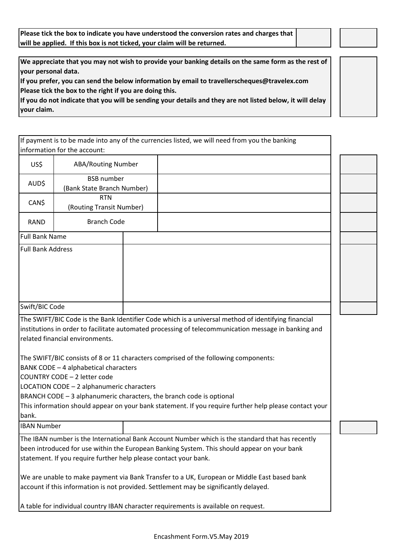**Please tick the box to indicate you have understood the conversion rates and charges that will be applied. If this box is not ticked, your claim will be returned.**

**We appreciate that you may not wish to provide your banking details on the same form as the rest of your personal data.** 

**If you prefer, you can send the below information by email to travellerscheques@travelex.com Please tick the box to the right if you are doing this.** 

**If you do not indicate that you will be sending your details and they are not listed below, it will delay your claim.** 

|                                                                                                                                                                                                                                                                                                                                                                                                      |                                                 |  | If payment is to be made into any of the currencies listed, we will need from you the banking |  |  |  |
|------------------------------------------------------------------------------------------------------------------------------------------------------------------------------------------------------------------------------------------------------------------------------------------------------------------------------------------------------------------------------------------------------|-------------------------------------------------|--|-----------------------------------------------------------------------------------------------|--|--|--|
| information for the account:                                                                                                                                                                                                                                                                                                                                                                         |                                                 |  |                                                                                               |  |  |  |
| US\$                                                                                                                                                                                                                                                                                                                                                                                                 | ABA/Routing Number                              |  |                                                                                               |  |  |  |
| AUD\$                                                                                                                                                                                                                                                                                                                                                                                                | <b>BSB</b> number<br>(Bank State Branch Number) |  |                                                                                               |  |  |  |
| CAN\$                                                                                                                                                                                                                                                                                                                                                                                                | <b>RTN</b><br>(Routing Transit Number)          |  |                                                                                               |  |  |  |
| <b>RAND</b>                                                                                                                                                                                                                                                                                                                                                                                          | <b>Branch Code</b>                              |  |                                                                                               |  |  |  |
| <b>Full Bank Name</b>                                                                                                                                                                                                                                                                                                                                                                                |                                                 |  |                                                                                               |  |  |  |
| <b>Full Bank Address</b>                                                                                                                                                                                                                                                                                                                                                                             |                                                 |  |                                                                                               |  |  |  |
| Swift/BIC Code                                                                                                                                                                                                                                                                                                                                                                                       |                                                 |  |                                                                                               |  |  |  |
| The SWIFT/BIC Code is the Bank Identifier Code which is a universal method of identifying financial<br>institutions in order to facilitate automated processing of telecommunication message in banking and<br>related financial environments.                                                                                                                                                       |                                                 |  |                                                                                               |  |  |  |
| The SWIFT/BIC consists of 8 or 11 characters comprised of the following components:<br>BANK CODE - 4 alphabetical characters<br>COUNTRY CODE - 2 letter code<br>LOCATION CODE - 2 alphanumeric characters<br>BRANCH CODE - 3 alphanumeric characters, the branch code is optional<br>This information should appear on your bank statement. If you require further help please contact your<br>bank. |                                                 |  |                                                                                               |  |  |  |
| <b>IBAN Number</b>                                                                                                                                                                                                                                                                                                                                                                                   |                                                 |  |                                                                                               |  |  |  |
| The IBAN number is the International Bank Account Number which is the standard that has recently<br>been introduced for use within the European Banking System. This should appear on your bank<br>statement. If you require further help please contact your bank.                                                                                                                                  |                                                 |  |                                                                                               |  |  |  |

We are unable to make payment via Bank Transfer to a UK, European or Middle East based bank account if this information is not provided. Settlement may be significantly delayed.

A table for individual country IBAN character requirements is available on request.